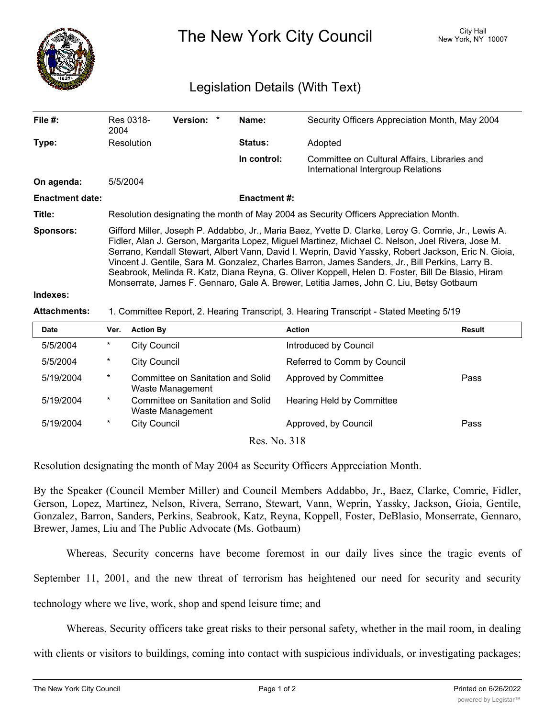

The New York City Council New York, NY 10007

## Legislation Details (With Text)

| File #:                | Res 0318-<br>2004                                                                                                                                                                                                                                                                                                                                                                                                                                                                                                                                                                                                     | <b>Version:</b> | Name:               | Security Officers Appreciation Month, May 2004                                     |               |  |  |
|------------------------|-----------------------------------------------------------------------------------------------------------------------------------------------------------------------------------------------------------------------------------------------------------------------------------------------------------------------------------------------------------------------------------------------------------------------------------------------------------------------------------------------------------------------------------------------------------------------------------------------------------------------|-----------------|---------------------|------------------------------------------------------------------------------------|---------------|--|--|
| Type:                  | Resolution                                                                                                                                                                                                                                                                                                                                                                                                                                                                                                                                                                                                            |                 | <b>Status:</b>      | Adopted                                                                            |               |  |  |
|                        |                                                                                                                                                                                                                                                                                                                                                                                                                                                                                                                                                                                                                       |                 | In control:         | Committee on Cultural Affairs, Libraries and<br>International Intergroup Relations |               |  |  |
| On agenda:             | 5/5/2004                                                                                                                                                                                                                                                                                                                                                                                                                                                                                                                                                                                                              |                 |                     |                                                                                    |               |  |  |
| <b>Enactment date:</b> |                                                                                                                                                                                                                                                                                                                                                                                                                                                                                                                                                                                                                       |                 | <b>Enactment #:</b> |                                                                                    |               |  |  |
| Title:                 | Resolution designating the month of May 2004 as Security Officers Appreciation Month.                                                                                                                                                                                                                                                                                                                                                                                                                                                                                                                                 |                 |                     |                                                                                    |               |  |  |
| <b>Sponsors:</b>       | Gifford Miller, Joseph P. Addabbo, Jr., Maria Baez, Yvette D. Clarke, Leroy G. Comrie, Jr., Lewis A.<br>Fidler, Alan J. Gerson, Margarita Lopez, Miguel Martinez, Michael C. Nelson, Joel Rivera, Jose M.<br>Serrano, Kendall Stewart, Albert Vann, David I. Weprin, David Yassky, Robert Jackson, Eric N. Gioia,<br>Vincent J. Gentile, Sara M. Gonzalez, Charles Barron, James Sanders, Jr., Bill Perkins, Larry B.<br>Seabrook, Melinda R. Katz, Diana Reyna, G. Oliver Koppell, Helen D. Foster, Bill De Blasio, Hiram<br>Monserrate, James F. Gennaro, Gale A. Brewer, Letitia James, John C. Liu, Betsy Gotbaum |                 |                     |                                                                                    |               |  |  |
| Indexes:               |                                                                                                                                                                                                                                                                                                                                                                                                                                                                                                                                                                                                                       |                 |                     |                                                                                    |               |  |  |
| <b>Attachments:</b>    | 1. Committee Report, 2. Hearing Transcript, 3. Hearing Transcript - Stated Meeting 5/19                                                                                                                                                                                                                                                                                                                                                                                                                                                                                                                               |                 |                     |                                                                                    |               |  |  |
| <b>Date</b>            | <b>Action By</b><br>Ver.                                                                                                                                                                                                                                                                                                                                                                                                                                                                                                                                                                                              |                 |                     | <b>Action</b>                                                                      | <b>Result</b> |  |  |

| <b>Date</b> | Ver.     | <b>Action By</b>                                      | <b>Action</b>                    | Result |
|-------------|----------|-------------------------------------------------------|----------------------------------|--------|
| 5/5/2004    | $\ast$   | City Council                                          | Introduced by Council            |        |
| 5/5/2004    | $^\star$ | <b>City Council</b>                                   | Referred to Comm by Council      |        |
| 5/19/2004   | $\ast$   | Committee on Sanitation and Solid<br>Waste Management | Approved by Committee            | Pass   |
| 5/19/2004   | $\ast$   | Committee on Sanitation and Solid<br>Waste Management | <b>Hearing Held by Committee</b> |        |
| 5/19/2004   | $\ast$   | <b>City Council</b>                                   | Approved, by Council             | Pass   |
|             |          | $D_{\alpha\alpha}$ N <sub>o</sub> 210                 |                                  |        |

Res. No. 318

Resolution designating the month of May 2004 as Security Officers Appreciation Month.

By the Speaker (Council Member Miller) and Council Members Addabbo, Jr., Baez, Clarke, Comrie, Fidler, Gerson, Lopez, Martinez, Nelson, Rivera, Serrano, Stewart, Vann, Weprin, Yassky, Jackson, Gioia, Gentile, Gonzalez, Barron, Sanders, Perkins, Seabrook, Katz, Reyna, Koppell, Foster, DeBlasio, Monserrate, Gennaro, Brewer, James, Liu and The Public Advocate (Ms. Gotbaum)

Whereas, Security concerns have become foremost in our daily lives since the tragic events of

September 11, 2001, and the new threat of terrorism has heightened our need for security and security

technology where we live, work, shop and spend leisure time; and

Whereas, Security officers take great risks to their personal safety, whether in the mail room, in dealing

with clients or visitors to buildings, coming into contact with suspicious individuals, or investigating packages;